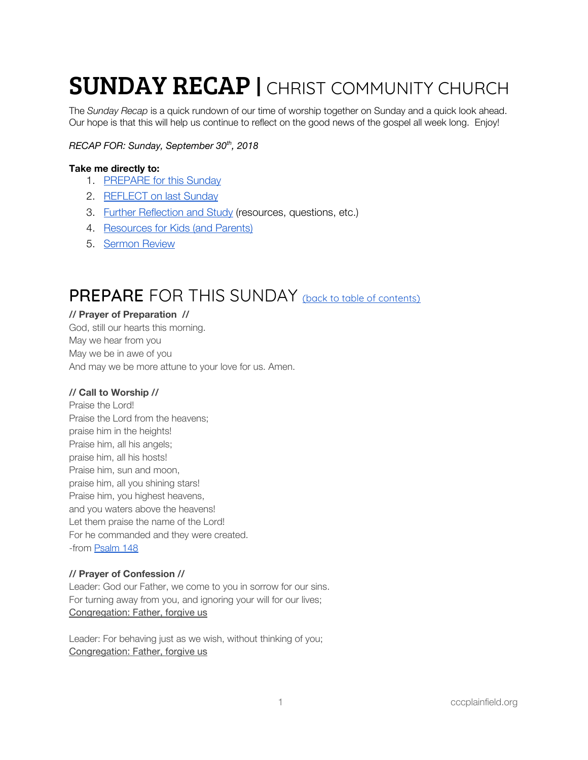# **SUNDAY RECAP | CHRIST COMMUNITY CHURCH**

The *Sunday Recap* is a quick rundown of our time of worship together on Sunday and a quick look ahead. Our hope is that this will help us continue to reflect on the good news of the gospel all week long. Enjoy!

# *RECAP FOR: Sunday, September 30 th , 2018*

# <span id="page-0-1"></span>**Take me directly to:**

- 1. [PREPARE](#page-0-0) for this Sunday
- 2. [REFLECT](#page-1-0) on last Sunday
- 3. Further [Reflection](#page-3-0) and Study (resources, questions, etc.)
- 4. [Resources](#page-4-0) for Kids (and Parents)
- 5. [Sermon](#page-5-0) Review

# <span id="page-0-0"></span>PREPARE FOR THIS SUNDAY (back to table of [contents\)](#page-0-1)

# **// Prayer of Preparation //**

God, still our hearts this morning. May we hear from you May we be in awe of you And may we be more attune to your love for us. Amen.

# **// Call to Worship //**

Praise the Lord! Praise the Lord from the heavens; praise him in the heights! Praise him, all his angels; praise him, all his hosts! Praise him, sun and moon, praise him, all you shining stars! Praise him, you highest heavens, and you waters above the heavens! Let them praise the name of the Lord! For he commanded and they were created. -from [Psalm](https://www.esv.org/Psalm+148/) 148

# **// Prayer of Confession //**

Leader: God our Father, we come to you in sorrow for our sins. For turning away from you, and ignoring your will for our lives; Congregation: Father, forgive us

Leader: For behaving just as we wish, without thinking of you; Congregation: Father, forgive us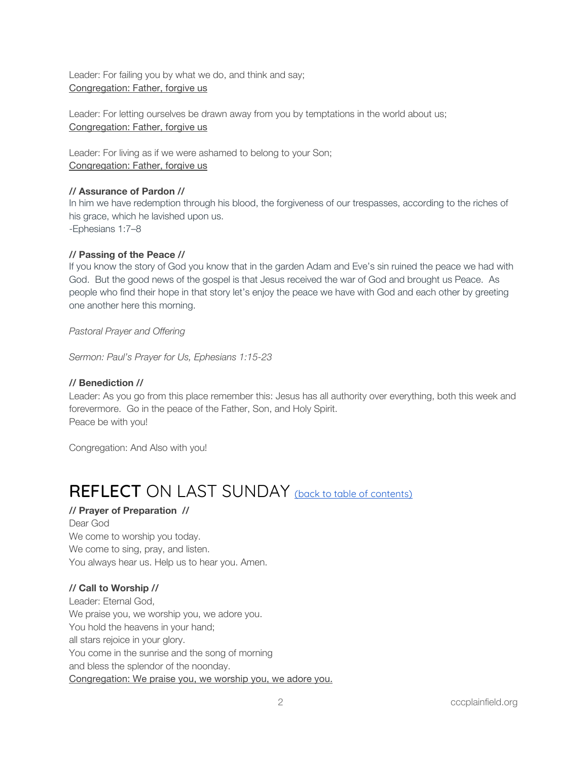Leader: For failing you by what we do, and think and say; Congregation: Father, forgive us

Leader: For letting ourselves be drawn away from you by temptations in the world about us; Congregation: Father, forgive us

Leader: For living as if we were ashamed to belong to your Son; Congregation: Father, forgive us

# **// Assurance of Pardon //**

In him we have redemption through his blood, the forgiveness of our trespasses, according to the riches of his grace, which he lavished upon us. -Ephesians 1:7–8

# **// Passing of the Peace //**

If you know the story of God you know that in the garden Adam and Eve's sin ruined the peace we had with God. But the good news of the gospel is that Jesus received the war of God and brought us Peace. As people who find their hope in that story let's enjoy the peace we have with God and each other by greeting one another here this morning.

*Pastoral Prayer and Offering*

*Sermon: Paul's Prayer for Us, Ephesians 1:15-23*

# **// Benediction //**

Leader: As you go from this place remember this: Jesus has all authority over everything, both this week and forevermore. Go in the peace of the Father, Son, and Holy Spirit. Peace be with you!

Congregation: And Also with you!

# <span id="page-1-0"></span>REFLECT ON LAST SUNDAY (back to table of [contents\)](#page-0-1)

# **// Prayer of Preparation //**

Dear God We come to worship you today. We come to sing, pray, and listen. You always hear us. Help us to hear you. Amen.

# **// Call to Worship //**

Leader: Eternal God, We praise you, we worship you, we adore you. You hold the heavens in your hand; all stars rejoice in your glory. You come in the sunrise and the song of morning and bless the splendor of the noonday. Congregation: We praise you, we worship you, we adore you.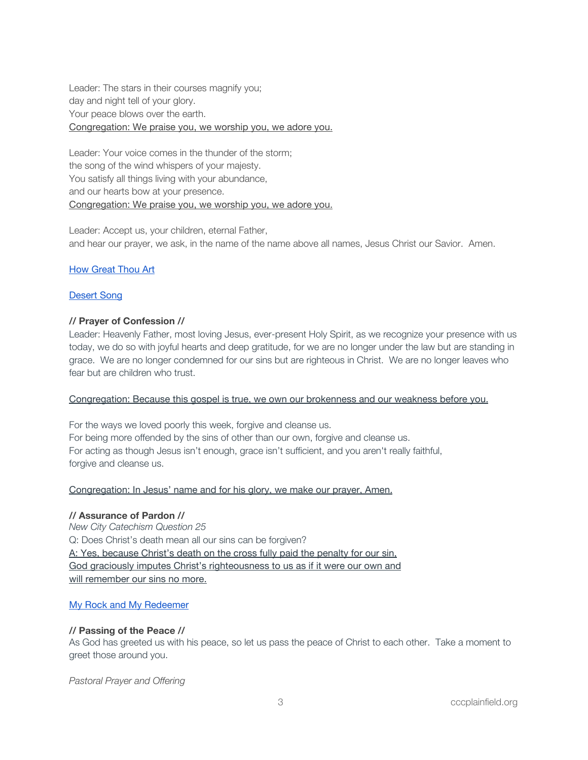Leader: The stars in their courses magnify you; day and night tell of your glory. Your peace blows over the earth. Congregation: We praise you, we worship you, we adore you.

Leader: Your voice comes in the thunder of the storm; the song of the wind whispers of your majesty. You satisfy all things living with your abundance, and our hearts bow at your presence. Congregation: We praise you, we worship you, we adore you.

Leader: Accept us, your children, eternal Father, and hear our prayer, we ask, in the name of the name above all names, Jesus Christ our Savior. Amen.

# How [Great](https://open.spotify.com/track/1SnZi2eVU2kcXRNJT6ek4J?si=kKQDdGHWTsyGuudG5fM3gw) Thou Art

### [Desert](https://open.spotify.com/track/47ayLGE4g5YsyGgmrZzJ1f?si=92e2pEKMRCa9C8sywNgy9Q) Song

#### **// Prayer of Confession //**

Leader: Heavenly Father, most loving Jesus, ever-present Holy Spirit, as we recognize your presence with us today, we do so with joyful hearts and deep gratitude, for we are no longer under the law but are standing in grace. We are no longer condemned for our sins but are righteous in Christ. We are no longer leaves who fear but are children who trust.

#### Congregation: Because this gospel is true, we own our brokenness and our weakness before you.

For the ways we loved poorly this week, forgive and cleanse us. For being more offended by the sins of other than our own, forgive and cleanse us. For acting as though Jesus isn't enough, grace isn't sufficient, and you aren't really faithful, forgive and cleanse us.

#### Congregation: In Jesus' name and for his glory, we make our prayer, Amen.

#### **// Assurance of Pardon //**

*New City Catechism Question 25* Q: Does Christ's death mean all our sins can be forgiven? A: Yes, because Christ's death on the cross fully paid the penalty for our sin, God graciously imputes Christ's righteousness to us as if it were our own and will remember our sins no more.

#### My Rock and My [Redeemer](https://open.spotify.com/track/1UCAZBeANdxSQ6AZARlt0w?si=FGMLazOUSrmOflND8sltOg)

# **// Passing of the Peace //**

As God has greeted us with his peace, so let us pass the peace of Christ to each other. Take a moment to greet those around you.

*Pastoral Prayer and Offering*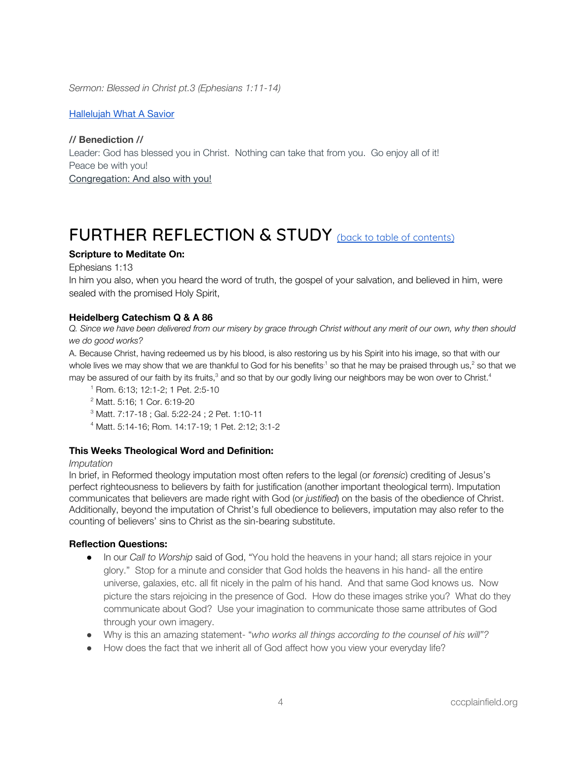*Sermon: Blessed in Christ pt.3 (Ephesians 1:11-14)*

[Hallelujah](https://open.spotify.com/track/2ML2gqL8WYP70utD7JuO8i?si=bM5C3K8lQcOyjb7HZCo-rQ) What A Savior

**// Benediction //** Leader: God has blessed you in Christ. Nothing can take that from you. Go enjoy all of it! Peace be with you! Congregation: And also with you!

# <span id="page-3-0"></span>FURTHER REFLECTION & STUDY (back to table of [contents\)](#page-0-1)

# **Scripture to Meditate On:**

Ephesians 1:13

In him you also, when you heard the word of truth, the gospel of your salvation, and believed in him, were sealed with the promised Holy Spirit,

#### **Heidelberg Catechism Q & A 86**

*Q. Since we have been delivered from our misery by grace through Christ without any merit of our own, why then should we do good works?*

A. Because Christ, having redeemed us by his blood, is also restoring us by his Spirit into his image, so that with our whole lives we may show that we are thankful to God for his benefits<sup>,1</sup> so that he may be praised through us,<sup>2</sup> so that we may be assured of our faith by its fruits,<sup>3</sup> and so that by our godly living our neighbors may be won over to Christ.<sup>4</sup>

1 Rom. 6:13; 12:1-2; 1 Pet. 2:5-10

2 Matt. 5:16; 1 Cor. 6:19-20

3 Matt. 7:17-18 ; Gal. 5:22-24 ; 2 Pet. 1:10-11

4 Matt. 5:14-16; Rom. 14:17-19; 1 Pet. 2:12; 3:1-2

#### **This Weeks Theological Word and Definition:**

#### *Imputation*

In brief, in Reformed theology imputation most often refers to the legal (or *forensic*) crediting of Jesus's perfect righteousness to believers by faith for justification (another important theological term). Imputation communicates that believers are made right with God (or *justified*) on the basis of the obedience of Christ. Additionally, beyond the imputation of Christ's full obedience to believers, imputation may also refer to the counting of believers' sins to Christ as the sin-bearing substitute.

#### **Reflection Questions:**

- In our *Call to Worship* said of God, "You hold the heavens in your hand; all stars rejoice in your glory." Stop for a minute and consider that God holds the heavens in his hand- all the entire universe, galaxies, etc. all fit nicely in the palm of his hand. And that same God knows us. Now picture the stars rejoicing in the presence of God. How do these images strike you? What do they communicate about God? Use your imagination to communicate those same attributes of God through your own imagery.
- Why is this an amazing statement- "*who works all things according to the counsel of his will"?*
- How does the fact that we inherit all of God affect how you view your everyday life?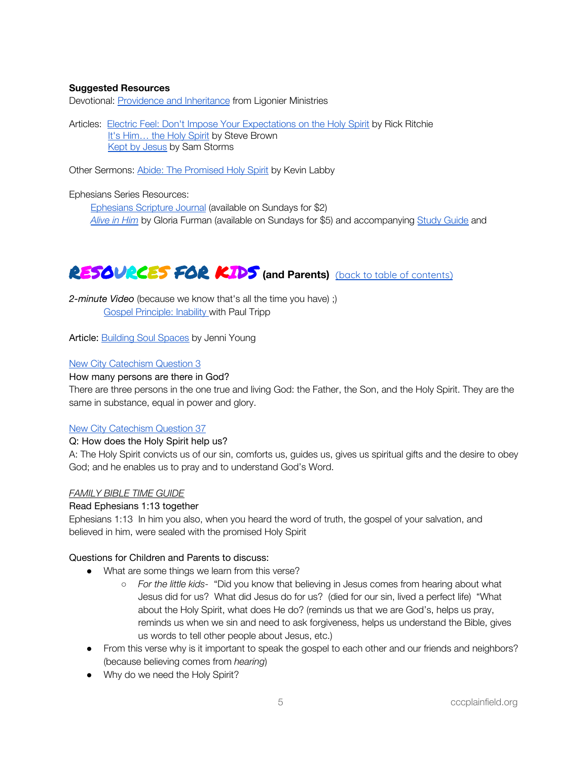# **Suggested Resources**

Devotional: [Providence](https://www.ligonier.org/learn/devotionals/providence-and-gods-inheritance/) and Inheritance from Ligonier Ministries

Articles: Electric Feel: Don't Impose Your [Expectations](https://drive.google.com/file/d/1QJk9wxc5xzQZPOsIg0n7duG7CaMu5hg9/view?usp=sharing) on the Holy Spirit by Rick Ritchie It's [Him…](https://www.keylife.org/articles/its-him...the-holy-spirit) the Holy Spirit by Steve Brown Kept by [Jesus](https://drive.google.com/open?id=1z4avqpFvsksHSItbQ_53g1tcAl7JYae0) by Sam Storms

Other Sermons: Abide: The [Promised](https://www.keylife.org/articles/abide-the-promised-holy-spirit-kevin-labby) Holy Spirit by Kevin Labby

#### Ephesians Series Resources:

[Ephesians](https://www.crossway.org/bibles/esv-scripture-journal-ephesians-tpb/) Scripture Journal (available on Sundays for \$2) *[Alive](https://www.crossway.org/books/alive-in-him-tpb/) in Him* by Gloria Furman (available on Sundays for \$5) and accompanying Study [Guide](https://static.crossway.org/excerpt/alive-in-him-study-guide.pdf) and

# <span id="page-4-0"></span>RESOURCES FOR KIDS **(and Parents)** (back to table of [contents\)](#page-0-1)

*2-minute Video* (because we know that's all the time you have) ;) Gospel [Principle:](https://www.paultripp.com/video#!/swx/pp/media_archives/170524/episode/64993) Inability with Paul Tripp

Article: **[Building](https://www.keylife.org/articles/building-soul-spaces) Soul Spaces** by Jenni Young

### New City [Catechism](http://newcitycatechism.com/new-city-catechism/#3) Question 3

#### How many persons are there in God?

There are three persons in the one true and living God: the Father, the Son, and the Holy Spirit. They are the same in substance, equal in power and glory.

#### New City [Catechism](http://newcitycatechism.com/new-city-catechism/#37) Question 37

#### Q: How does the Holy Spirit help us?

A: The Holy Spirit convicts us of our sin, comforts us, guides us, gives us spiritual gifts and the desire to obey God; and he enables us to pray and to understand God's Word.

#### *FAMILY BIBLE TIME GUIDE*

#### Read Ephesians 1:13 together

Ephesians 1:13 In him you also, when you heard the word of truth, the gospel of your salvation, and believed in him, were sealed with the promised Holy Spirit

#### Questions for Children and Parents to discuss:

- What are some things we learn from this verse?
	- *For the little kids-* "Did you know that believing in Jesus comes from hearing about what Jesus did for us? What did Jesus do for us? (died for our sin, lived a perfect life) "What about the Holy Spirit, what does He do? (reminds us that we are God's, helps us pray, reminds us when we sin and need to ask forgiveness, helps us understand the Bible, gives us words to tell other people about Jesus, etc.)
- From this verse why is it important to speak the gospel to each other and our friends and neighbors? (because believing comes from *hearing*)
- Why do we need the Holy Spirit?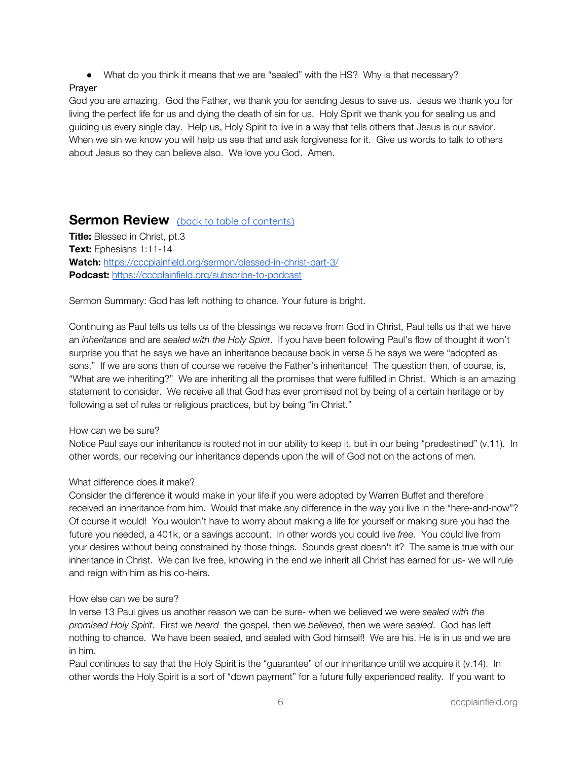● What do you think it means that we are "sealed" with the HS? Why is that necessary?

### Prayer

God you are amazing. God the Father, we thank you for sending Jesus to save us. Jesus we thank you for living the perfect life for us and dying the death of sin for us. Holy Spirit we thank you for sealing us and guiding us every single day. Help us, Holy Spirit to live in a way that tells others that Jesus is our savior. When we sin we know you will help us see that and ask forgiveness for it. Give us words to talk to others about Jesus so they can believe also. We love you God. Amen.

# <span id="page-5-0"></span>**Sermon Review** (back to table of [contents\)](#page-0-1)

**Title:** Blessed in Christ, pt.3 **Text:** Ephesians 1:11-14 **Watch:** <https://cccplainfield.org/sermon/blessed-in-christ-part-3/> **Podcast:** <https://cccplainfield.org/subscribe-to-podcast>

Sermon Summary: God has left nothing to chance. Your future is bright.

Continuing as Paul tells us tells us of the blessings we receive from God in Christ, Paul tells us that we have an *inheritance* and are *sealed with the Holy Spirit*. If you have been following Paul's flow of thought it won't surprise you that he says we have an inheritance because back in verse 5 he says we were "adopted as sons." If we are sons then of course we receive the Father's inheritance! The question then, of course, is, "What are we inheriting?" We are inheriting all the promises that were fulfilled in Christ. Which is an amazing statement to consider. We receive all that God has ever promised not by being of a certain heritage or by following a set of rules or religious practices, but by being "in Christ."

#### How can we be sure?

Notice Paul says our inheritance is rooted not in our ability to keep it, but in our being "predestined" (v.11). In other words, our receiving our inheritance depends upon the will of God not on the actions of men.

# What difference does it make?

Consider the difference it would make in your life if you were adopted by Warren Buffet and therefore received an inheritance from him. Would that make any difference in the way you live in the "here-and-now"? Of course it would! You wouldn't have to worry about making a life for yourself or making sure you had the future you needed, a 401k, or a savings account. In other words you could live *free*. You could live from your desires without being constrained by those things. Sounds great doesn't it? The same is true with our inheritance in Christ. We can live free, knowing in the end we inherit all Christ has earned for us- we will rule and reign with him as his co-heirs.

#### How else can we be sure?

In verse 13 Paul gives us another reason we can be sure- when we believed we were *sealed with the promised Holy Spirit*. First we *heard* the gospel, then we *believed*, then we were *sealed*. God has left nothing to chance. We have been sealed, and sealed with God himself! We are his. He is in us and we are in him.

Paul continues to say that the Holy Spirit is the "guarantee" of our inheritance until we acquire it (v.14). In other words the Holy Spirit is a sort of "down payment" for a future fully experienced reality. If you want to